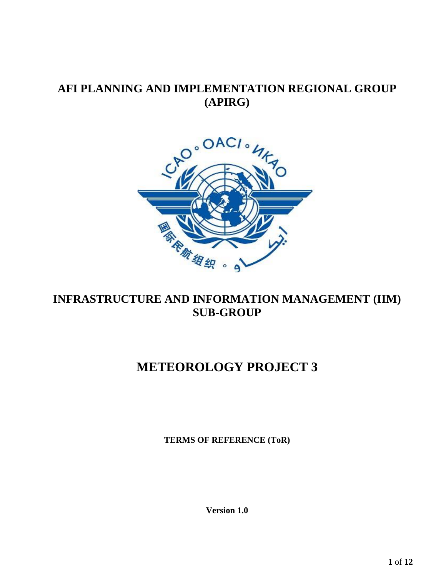# **AFI PLANNING AND IMPLEMENTATION REGIONAL GROUP (APIRG)**



# **INFRASTRUCTURE AND INFORMATION MANAGEMENT (IIM) SUB-GROUP**

# **METEOROLOGY PROJECT 3**

**TERMS OF REFERENCE (ToR)**

**Version 1.0**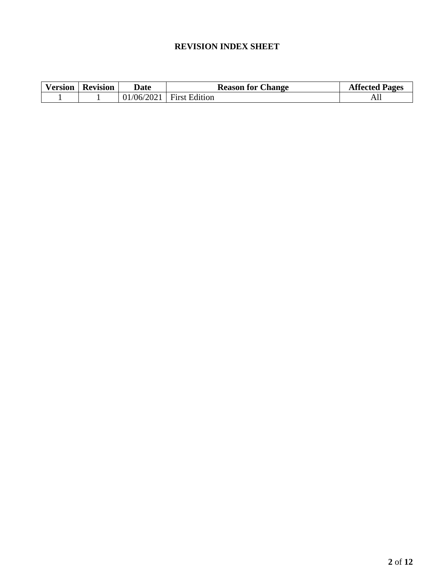# **REVISION INDEX SHEET**

| Version | <b>Revision</b> | Date                                                                         | <b>Reason for Change</b>                         | <b>Affected</b><br>Pages |
|---------|-----------------|------------------------------------------------------------------------------|--------------------------------------------------|--------------------------|
|         |                 | $\sim$ $\sim$ $\sim$ $\sim$<br>$^{\prime}$ 06/<br>$\mathcal{L}(\mathcal{V})$ | $\overline{\phantom{a}}$<br>Edition<br>. Hiret : | ער                       |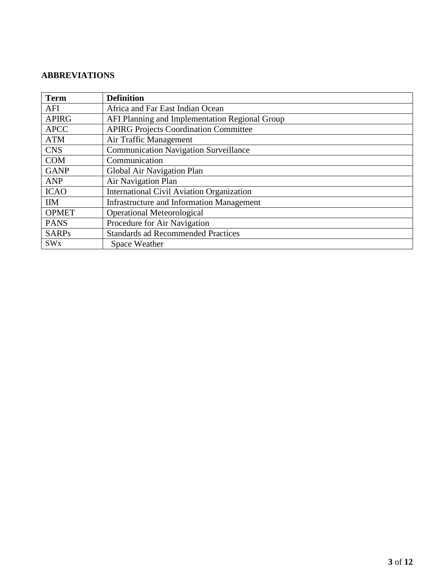# <span id="page-2-0"></span>**ABBREVIATIONS**

| <b>Term</b>           | <b>Definition</b>                                |
|-----------------------|--------------------------------------------------|
| AFI                   | Africa and Far East Indian Ocean                 |
| <b>APIRG</b>          | AFI Planning and Implementation Regional Group   |
| <b>APCC</b>           | <b>APIRG Projects Coordination Committee</b>     |
| <b>ATM</b>            | Air Traffic Management                           |
| <b>CNS</b>            | <b>Communication Navigation Surveillance</b>     |
| <b>COM</b>            | Communication                                    |
| <b>GANP</b>           | Global Air Navigation Plan                       |
| <b>ANP</b>            | Air Navigation Plan                              |
| <b>ICAO</b>           | <b>International Civil Aviation Organization</b> |
| <b>IIM</b>            | <b>Infrastructure and Information Management</b> |
| <b>OPMET</b>          | <b>Operational Meteorological</b>                |
| <b>PANS</b>           | Procedure for Air Navigation                     |
| <b>SARPs</b>          | <b>Standards ad Recommended Practices</b>        |
| <b>SW<sub>x</sub></b> | Space Weather                                    |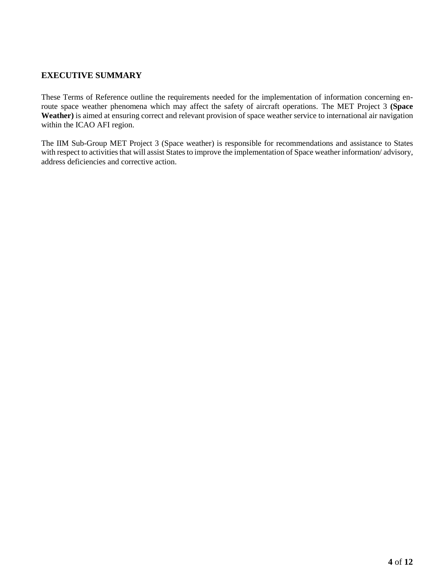## <span id="page-3-0"></span>**EXECUTIVE SUMMARY**

These Terms of Reference outline the requirements needed for the implementation of information concerning enroute space weather phenomena which may affect the safety of aircraft operations. The MET Project 3 **(Space Weather)** is aimed at ensuring correct and relevant provision of space weather service to international air navigation within the ICAO AFI region.

The IIM Sub-Group MET Project 3 (Space weather) is responsible for recommendations and assistance to States with respect to activities that will assist States to improve the implementation of Space weather information/ advisory, address deficiencies and corrective action.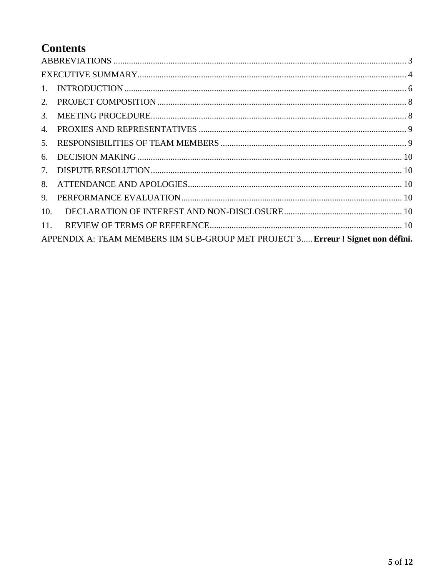# **Contents**

| APPENDIX A: TEAM MEMBERS IIM SUB-GROUP MET PROJECT 3 Erreur ! Signet non défini. |  |  |  |  |
|----------------------------------------------------------------------------------|--|--|--|--|
|                                                                                  |  |  |  |  |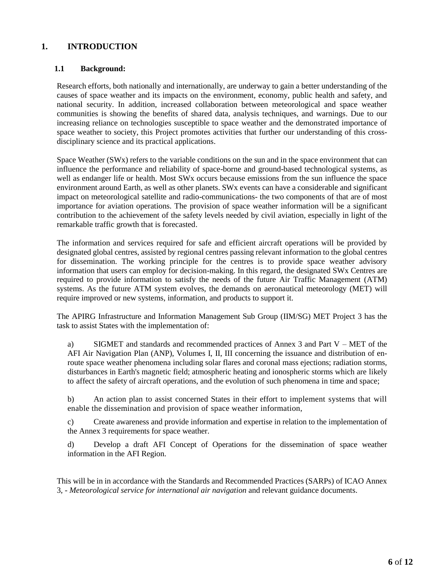## <span id="page-5-0"></span>**1. INTRODUCTION**

#### **1.1 Background:**

Research efforts, both nationally and internationally, are underway to gain a better understanding of the causes of space weather and its impacts on the environment, economy, public health and safety, and national security. In addition, increased collaboration between meteorological and space weather communities is showing the benefits of shared data, analysis techniques, and warnings. Due to our increasing reliance on technologies susceptible to space weather and the demonstrated importance of space weather to society, this Project promotes activities that further our understanding of this crossdisciplinary science and its practical applications.

Space Weather (SWx) refers to the variable conditions on the sun and in the space environment that can influence the performance and reliability of space-borne and ground-based technological systems, as well as endanger life or health. Most SWx occurs because emissions from the sun influence the space environment around Earth, as well as other planets. SWx events can have a considerable and significant impact on meteorological satellite and radio-communications- the two components of that are of most importance for aviation operations. The provision of space weather information will be a significant contribution to the achievement of the safety levels needed by civil aviation, especially in light of the remarkable traffic growth that is forecasted.

The information and services required for safe and efficient aircraft operations will be provided by designated global centres, assisted by regional centres passing relevant information to the global centres for dissemination. The working principle for the centres is to provide space weather advisory information that users can employ for decision-making. In this regard, the designated SWx Centres are required to provide information to satisfy the needs of the future Air Traffic Management (ATM) systems. As the future ATM system evolves, the demands on aeronautical meteorology (MET) will require improved or new systems, information, and products to support it.

The APIRG Infrastructure and Information Management Sub Group (IIM/SG) MET Project 3 has the task to assist States with the implementation of:

a) SIGMET and standards and recommended practices of Annex  $\overline{3}$  and Part V – MET of the AFI Air Navigation Plan (ANP), Volumes I, II, III concerning the issuance and distribution of enroute space weather phenomena including solar flares and coronal mass ejections; radiation storms, disturbances in Earth's magnetic field; atmospheric heating and ionospheric storms which are likely to affect the safety of aircraft operations, and the evolution of such phenomena in time and space;

b) An action plan to assist concerned States in their effort to implement systems that will enable the dissemination and provision of space weather information,

c) Create awareness and provide information and expertise in relation to the implementation of the Annex 3 requirements for space weather.

d) Develop a draft AFI Concept of Operations for the dissemination of space weather information in the AFI Region.

This will be in in accordance with the Standards and Recommended Practices (SARPs) of ICAO Annex 3, - *Meteorological service for international air navigation* and relevant guidance documents.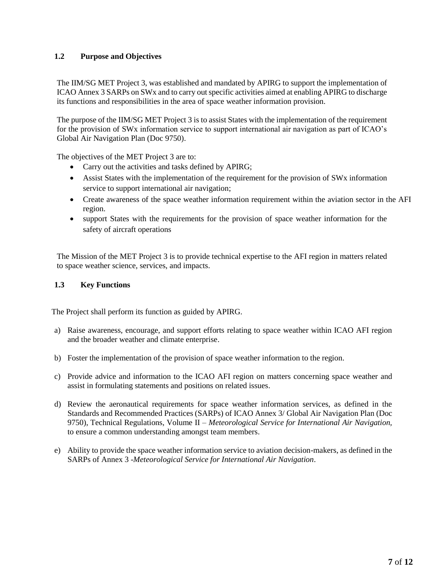## **1.2 Purpose and Objectives**

The IIM/SG MET Project 3, was established and mandated by APIRG to support the implementation of ICAO Annex 3 SARPs on SWx and to carry out specific activities aimed at enabling APIRG to discharge its functions and responsibilities in the area of space weather information provision.

The purpose of the IIM/SG MET Project 3 is to assist States with the implementation of the requirement for the provision of SWx information service to support international air navigation as part of ICAO's Global Air Navigation Plan (Doc 9750).

The objectives of the MET Project 3 are to:

- Carry out the activities and tasks defined by APIRG;
- Assist States with the implementation of the requirement for the provision of SWx information service to support international air navigation;
- Create awareness of the space weather information requirement within the aviation sector in the AFI region.
- support States with the requirements for the provision of space weather information for the safety of aircraft operations

The Mission of the MET Project 3 is to provide technical expertise to the AFI region in matters related to space weather science, services, and impacts.

#### **1.3 Key Functions**

The Project shall perform its function as guided by APIRG.

- a) Raise awareness, encourage, and support efforts relating to space weather within ICAO AFI region and the broader weather and climate enterprise.
- b) Foster the implementation of the provision of space weather information to the region.
- c) Provide advice and information to the ICAO AFI region on matters concerning space weather and assist in formulating statements and positions on related issues.
- d) Review the aeronautical requirements for space weather information services, as defined in the Standards and Recommended Practices (SARPs) of ICAO Annex 3/ Global Air Navigation Plan (Doc 9750), Technical Regulations, Volume II – *Meteorological Service for International Air Navigation,*  to ensure a common understanding amongst team members.
- e) Ability to provide the space weather information service to aviation decision-makers, as defined in the SARPs of Annex 3 -*Meteorological Service for International Air Navigation*.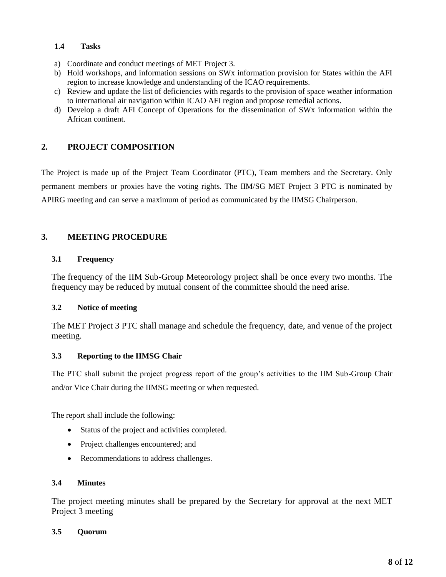### **1.4 Tasks**

- a) Coordinate and conduct meetings of MET Project 3.
- b) Hold workshops, and information sessions on SWx information provision for States within the AFI region to increase knowledge and understanding of the ICAO requirements.
- c) Review and update the list of deficiencies with regards to the provision of space weather information to international air navigation within ICAO AFI region and propose remedial actions.
- d) Develop a draft AFI Concept of Operations for the dissemination of SWx information within the African continent.

## <span id="page-7-0"></span>**2. PROJECT COMPOSITION**

The Project is made up of the Project Team Coordinator (PTC), Team members and the Secretary. Only permanent members or proxies have the voting rights. The IIM/SG MET Project 3 PTC is nominated by APIRG meeting and can serve a maximum of period as communicated by the IIMSG Chairperson.

## <span id="page-7-1"></span>**3. MEETING PROCEDURE**

## **3.1 Frequency**

The frequency of the IIM Sub-Group Meteorology project shall be once every two months. The frequency may be reduced by mutual consent of the committee should the need arise.

## **3.2 Notice of meeting**

The MET Project 3 PTC shall manage and schedule the frequency, date, and venue of the project meeting.

#### **3.3 Reporting to the IIMSG Chair**

The PTC shall submit the project progress report of the group's activities to the IIM Sub-Group Chair and/or Vice Chair during the IIMSG meeting or when requested.

The report shall include the following:

- Status of the project and activities completed.
- Project challenges encountered; and
- Recommendations to address challenges.

#### **3.4 Minutes**

The project meeting minutes shall be prepared by the Secretary for approval at the next MET Project 3 meeting

#### **3.5 Quorum**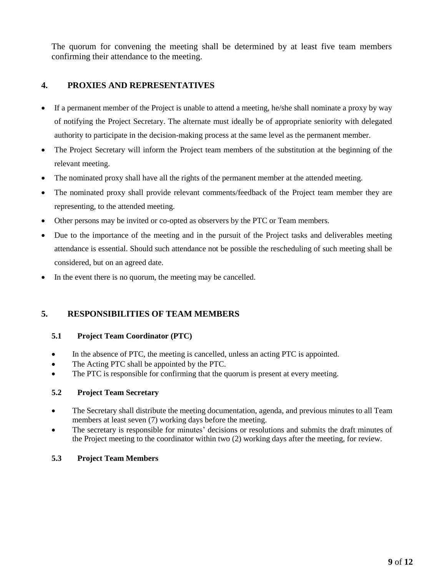The quorum for convening the meeting shall be determined by at least five team members confirming their attendance to the meeting.

# <span id="page-8-0"></span>**4. PROXIES AND REPRESENTATIVES**

- If a permanent member of the Project is unable to attend a meeting, he/she shall nominate a proxy by way of notifying the Project Secretary. The alternate must ideally be of appropriate seniority with delegated authority to participate in the decision-making process at the same level as the permanent member.
- The Project Secretary will inform the Project team members of the substitution at the beginning of the relevant meeting.
- The nominated proxy shall have all the rights of the permanent member at the attended meeting.
- The nominated proxy shall provide relevant comments/feedback of the Project team member they are representing, to the attended meeting.
- Other persons may be invited or co-opted as observers by the PTC or Team members.
- Due to the importance of the meeting and in the pursuit of the Project tasks and deliverables meeting attendance is essential. Should such attendance not be possible the rescheduling of such meeting shall be considered, but on an agreed date.
- In the event there is no quorum, the meeting may be cancelled.

## <span id="page-8-1"></span>**5. RESPONSIBILITIES OF TEAM MEMBERS**

## **5.1 Project Team Coordinator (PTC)**

- In the absence of PTC, the meeting is cancelled, unless an acting PTC is appointed.
- The Acting PTC shall be appointed by the PTC.
- The PTC is responsible for confirming that the quorum is present at every meeting.

## **5.2 Project Team Secretary**

- The Secretary shall distribute the meeting documentation, agenda, and previous minutes to all Team members at least seven (7) working days before the meeting.
- The secretary is responsible for minutes' decisions or resolutions and submits the draft minutes of the Project meeting to the coordinator within two (2) working days after the meeting, for review.

## **5.3 Project Team Members**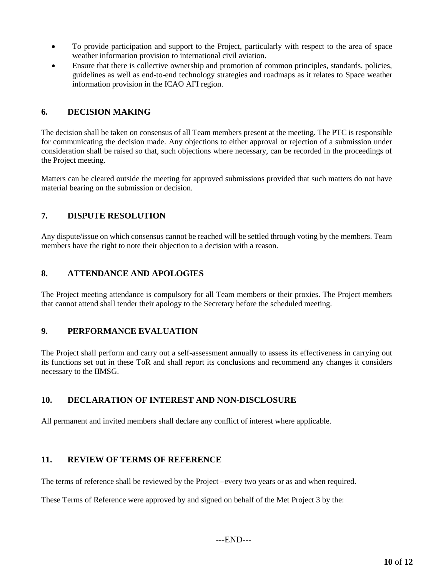- To provide participation and support to the Project, particularly with respect to the area of space weather information provision to international civil aviation.
- Ensure that there is collective ownership and promotion of common principles, standards, policies, guidelines as well as end-to-end technology strategies and roadmaps as it relates to Space weather information provision in the ICAO AFI region.

## <span id="page-9-0"></span>**6. DECISION MAKING**

The decision shall be taken on consensus of all Team members present at the meeting. The PTC is responsible for communicating the decision made. Any objections to either approval or rejection of a submission under consideration shall be raised so that, such objections where necessary, can be recorded in the proceedings of the Project meeting.

Matters can be cleared outside the meeting for approved submissions provided that such matters do not have material bearing on the submission or decision.

# <span id="page-9-1"></span>**7. DISPUTE RESOLUTION**

Any dispute/issue on which consensus cannot be reached will be settled through voting by the members. Team members have the right to note their objection to a decision with a reason.

# <span id="page-9-2"></span>**8. ATTENDANCE AND APOLOGIES**

The Project meeting attendance is compulsory for all Team members or their proxies. The Project members that cannot attend shall tender their apology to the Secretary before the scheduled meeting.

## <span id="page-9-3"></span>**9. PERFORMANCE EVALUATION**

The Project shall perform and carry out a self-assessment annually to assess its effectiveness in carrying out its functions set out in these ToR and shall report its conclusions and recommend any changes it considers necessary to the IIMSG.

## <span id="page-9-4"></span>**10. DECLARATION OF INTEREST AND NON-DISCLOSURE**

All permanent and invited members shall declare any conflict of interest where applicable.

## <span id="page-9-5"></span>**11. REVIEW OF TERMS OF REFERENCE**

The terms of reference shall be reviewed by the Project –every two years or as and when required.

These Terms of Reference were approved by and signed on behalf of the Met Project 3 by the: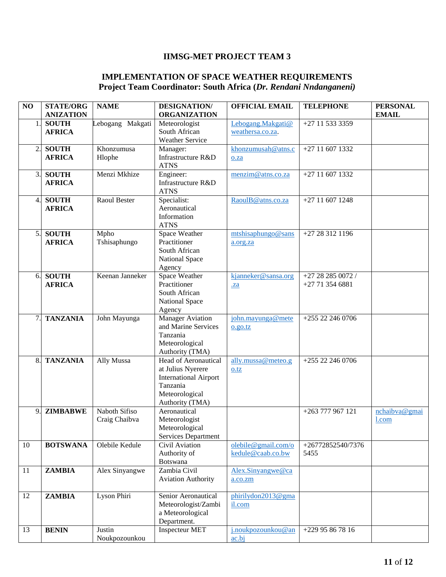# **IIMSG-MET PROJECT TEAM 3**

### **IMPLEMENTATION OF SPACE WEATHER REQUIREMENTS Project Team Coordinator: South Africa (***Dr. Rendani Nndanganeni)*

| NO               | <b>STATE/ORG</b> | <b>NAME</b>         | <b>DESIGNATION/</b>          | <b>OFFICIAL EMAIL</b> | <b>TELEPHONE</b>  | <b>PERSONAL</b> |
|------------------|------------------|---------------------|------------------------------|-----------------------|-------------------|-----------------|
|                  | <b>ANIZATION</b> |                     | <b>ORGANIZATION</b>          |                       |                   | <b>EMAIL</b>    |
| 1                | <b>SOUTH</b>     | Lebogang Makgati    | Meteorologist                | Lebogang.Makgati@     | +27 11 533 3359   |                 |
|                  | <b>AFRICA</b>    |                     | South African                | weathersa.co.za.      |                   |                 |
|                  |                  |                     | <b>Weather Service</b>       |                       |                   |                 |
| 2.               | <b>SOUTH</b>     | Khonzumusa          | Manager:                     | khonzumusah@atns.c    | $+27$ 11 607 1332 |                 |
|                  | <b>AFRICA</b>    | Hlophe              | Infrastructure R&D           | o.za                  |                   |                 |
|                  |                  |                     | <b>ATNS</b>                  |                       |                   |                 |
| 3.               | <b>SOUTH</b>     | Menzi Mkhize        | Engineer:                    | menzim@atns.co.za     | $+27116071332$    |                 |
|                  | <b>AFRICA</b>    |                     | Infrastructure R&D           |                       |                   |                 |
|                  |                  |                     | <b>ATNS</b>                  |                       |                   |                 |
| $\overline{4}$ . | <b>SOUTH</b>     | <b>Raoul Bester</b> | Specialist:                  | RaoulB@atns.co.za     | $+27$ 11 607 1248 |                 |
|                  | <b>AFRICA</b>    |                     | Aeronautical                 |                       |                   |                 |
|                  |                  |                     | Information                  |                       |                   |                 |
|                  |                  |                     | <b>ATNS</b>                  |                       |                   |                 |
| 5.               | <b>SOUTH</b>     | Mpho                | Space Weather                | mtshisaphungo@sans    | +27 28 312 1196   |                 |
|                  | <b>AFRICA</b>    | Tshisaphungo        | Practitioner                 | a.org.za              |                   |                 |
|                  |                  |                     | South African                |                       |                   |                 |
|                  |                  |                     | National Space               |                       |                   |                 |
|                  |                  |                     | Agency                       |                       |                   |                 |
| 6.               | <b>SOUTH</b>     | Keenan Janneker     | Space Weather                | kjanneker@sansa.org   | +27 28 285 0072 / |                 |
|                  | <b>AFRICA</b>    |                     | Practitioner                 | $\mathbf{z}$          | $+27713546881$    |                 |
|                  |                  |                     | South African                |                       |                   |                 |
|                  |                  |                     | National Space               |                       |                   |                 |
|                  |                  |                     | Agency                       |                       |                   |                 |
| 7.               | <b>TANZANIA</b>  | John Mayunga        | <b>Manager Aviation</b>      | john.mayunga@mete     | +255 22 246 0706  |                 |
|                  |                  |                     | and Marine Services          | 0.90.tz               |                   |                 |
|                  |                  |                     | Tanzania                     |                       |                   |                 |
|                  |                  |                     | Meteorological               |                       |                   |                 |
|                  |                  |                     | Authority (TMA)              |                       |                   |                 |
| 8.               | <b>TANZANIA</b>  | Ally Mussa          | Head of Aeronautical         | ally.mussa@meteo.g    | +255 22 246 0706  |                 |
|                  |                  |                     | at Julius Nyerere            | 0.tz                  |                   |                 |
|                  |                  |                     | <b>International Airport</b> |                       |                   |                 |
|                  |                  |                     | Tanzania                     |                       |                   |                 |
|                  |                  |                     | Meteorological               |                       |                   |                 |
|                  |                  |                     | Authority (TMA)              |                       |                   |                 |
| 9                | <b>ZIMBABWE</b>  | Naboth Sifiso       | Aeronautical                 |                       | +263 777 967 121  | nchaibva@gmai   |
|                  |                  | Craig Chaibva       | Meteorologist                |                       |                   | 1.com           |
|                  |                  |                     | Meteorological               |                       |                   |                 |
|                  |                  |                     | Services Department          |                       |                   |                 |
| 10               | <b>BOTSWANA</b>  | Olebile Kedule      | Civil Aviation               | olebile@gmail.com/o   | +26772852540/7376 |                 |
|                  |                  |                     | Authority of                 | kedule@caab.co.bw     | 5455              |                 |
|                  |                  |                     | Botswana                     |                       |                   |                 |
| 11               | <b>ZAMBIA</b>    | Alex Sinyangwe      | Zambia Civil                 | Alex.Sinyangwe@ca     |                   |                 |
|                  |                  |                     | <b>Aviation Authority</b>    | a.co.zm               |                   |                 |
|                  | <b>ZAMBIA</b>    | Lyson Phiri         | Senior Aeronautical          |                       |                   |                 |
| 12               |                  |                     | Meteorologist/Zambi          | phirilydon2013@gma    |                   |                 |
|                  |                  |                     | a Meteorological             | il.com                |                   |                 |
|                  |                  |                     | Department.                  |                       |                   |                 |
| 13               | <b>BENIN</b>     | Justin              | <b>Inspecteur MET</b>        | j.noukpozounkou@an    | +229 95 86 78 16  |                 |
|                  |                  | Noukpozounkou       |                              | ac.bj                 |                   |                 |
|                  |                  |                     |                              |                       |                   |                 |